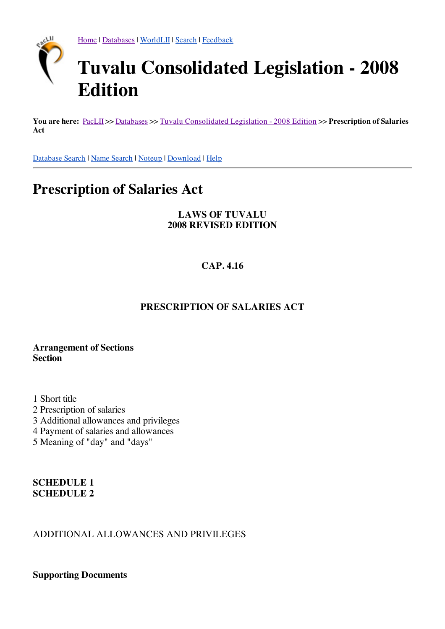

[Home](http://www.paclii.org/) | [Databases](http://www.paclii.org/databases.html) | [WorldLII](http://www.worldlii.org/) | [Search](http://www.paclii.org/form/search/search1.html) | [Feedback](http://www.paclii.org/paclii/feedback.html)

# **Tuvalu Consolidated Legislation - 2008 Edition**

**You are here:** [PacLII](http://www.paclii.org/) >> [Databases](http://www.paclii.org/databases.html) >> Tuvalu [Consolidated](http://www.paclii.org/tv/legis/consol_act_2008/) Legislation - 2008 Edition >> **Prescription of Salaries Act**

[Database](http://www.paclii.org/form/search/search1.html?mask=tv/legis/consol_act_2008) [Search](http://www.paclii.org/form/search/search1.html?mask=tv/legis/consol_act_2008&title=1) | Name Search | [Noteup](http://www.paclii.org/cgi-bin/sinosrch.cgi?method=boolean&meta=/paclii&results=50&query=posa266) | [Download](http://www.paclii.org/tv/legis/consol_act_2008/posa266.rtf) | [Help](http://www.paclii.org/paclii/help/legis.html)

# **Prescription of Salaries Act**

#### **LAWS OF TUVALU 2008 REVISED EDITION**

# **CAP. 4.16**

#### **PRESCRIPTION OF SALARIES ACT**

#### **Arrangement of Sections Section**

1 Short title

- 2 Prescription of salaries
- 3 Additional allowances and privileges
- 4 Payment of salaries and allowances
- 5 Meaning of "day" and "days"

#### **SCHEDULE 1 SCHEDULE 2**

# ADDITIONAL ALLOWANCES AND PRIVILEGES

**Supporting Documents**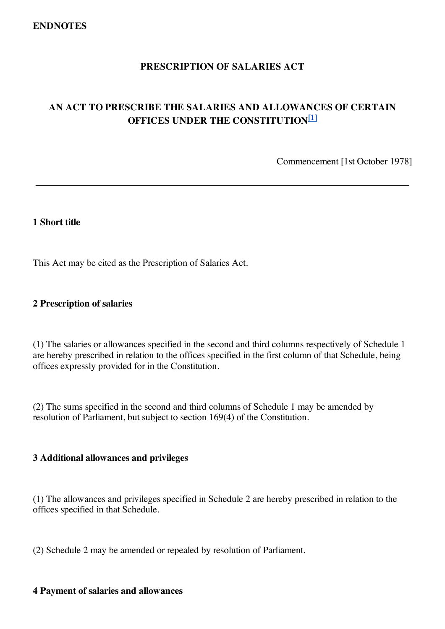# **PRESCRIPTION OF SALARIES ACT**

# **AN ACT TO PRESCRIBE THE SALARIES AND ALLOWANCES OF CERTAIN OFFICES UNDER THE CONSTITUTION [1]**

\_\_\_\_\_\_\_\_\_\_\_\_\_\_\_\_\_\_\_\_\_\_\_\_\_\_\_\_\_\_\_\_\_\_\_\_\_\_\_\_\_\_\_\_\_\_\_\_\_\_\_\_\_\_\_\_\_\_\_\_\_\_\_\_\_\_\_\_\_\_\_\_\_\_\_\_\_\_

Commencement [1st October 1978]

#### **1 Short title**

This Act may be cited as the Prescription of Salaries Act.

#### **2 Prescription of salaries**

(1) The salaries or allowances specified in the second and third columns respectively of Schedule 1 are hereby prescribed in relation to the offices specified in the first column of that Schedule, being offices expressly provided for in the Constitution.

(2) The sums specified in the second and third columns of Schedule 1 may be amended by resolution of Parliament, but subject to section 169(4) of the Constitution.

#### **3 Additional allowances and privileges**

(1) The allowances and privileges specified in Schedule 2 are hereby prescribed in relation to the offices specified in that Schedule.

(2) Schedule 2 may be amended or repealed by resolution of Parliament.

#### **4 Payment of salaries and allowances**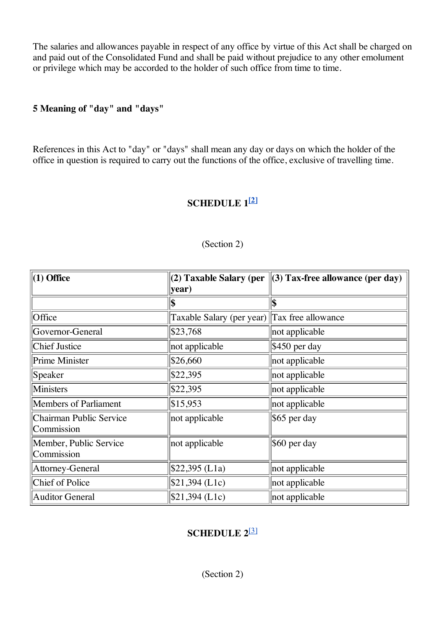The salaries and allowances payable in respect of any office by virtue of this Act shall be charged on and paid out of the Consolidated Fund and shall be paid without prejudice to any other emolument or privilege which may be accorded to the holder of such office from time to time.

# **5 Meaning of "day" and "days"**

References in this Act to "day" or "days" shall mean any day or days on which the holder of the office in question is required to carry out the functions of the office, exclusive of travelling time.

# <span id="page-2-0"></span>**SCHEDULE 1 [\[2\]](#page-3-0)**

| $(1)$ Office                                 | year)                                        | (2) Taxable Salary (per $\ $ (3) Tax-free allowance (per day) |  |  |
|----------------------------------------------|----------------------------------------------|---------------------------------------------------------------|--|--|
|                                              | \$                                           | \$                                                            |  |  |
| Office                                       | Taxable Salary (per year) Tax free allowance |                                                               |  |  |
| Governor-General                             | \$23,768                                     | not applicable                                                |  |  |
| <b>Chief Justice</b>                         | not applicable                               | $\frac{1}{9}450$ per day                                      |  |  |
| Prime Minister                               | \$26,660                                     | not applicable                                                |  |  |
| Speaker                                      | $\$22,395$                                   | not applicable                                                |  |  |
| Ministers                                    | $\$22,395$                                   | not applicable                                                |  |  |
| <b>Members of Parliament</b>                 | \$15,953                                     | not applicable                                                |  |  |
| <b>Chairman Public Service</b><br>Commission | not applicable                               | $\frac{1}{6}$ \$65 per day                                    |  |  |
| Member, Public Service<br>Commission         | not applicable                               | $\vert$ \$60 per day                                          |  |  |
| Attorney-General                             | $$22,395$ (L1a)                              | not applicable                                                |  |  |
| Chief of Police                              | $$21,394$ (L1c)                              | not applicable                                                |  |  |
| <b>Auditor General</b>                       | $$21,394$ (L1c)                              | not applicable                                                |  |  |

#### (Section 2)

# <span id="page-2-1"></span>**SCHEDULE 2** [\[3\]](#page-3-1)